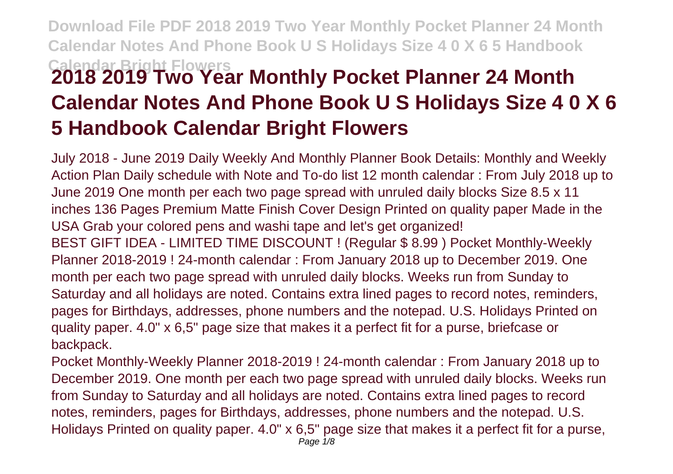## **Download File PDF 2018 2019 Two Year Monthly Pocket Planner 24 Month Calendar Notes And Phone Book U S Holidays Size 4 0 X 6 5 Handbook Calendar Bright Flowers 2018 2019 Two Year Monthly Pocket Planner 24 Month Calendar Notes And Phone Book U S Holidays Size 4 0 X 6 5 Handbook Calendar Bright Flowers**

July 2018 - June 2019 Daily Weekly And Monthly Planner Book Details: Monthly and Weekly Action Plan Daily schedule with Note and To-do list 12 month calendar : From July 2018 up to June 2019 One month per each two page spread with unruled daily blocks Size 8.5 x 11 inches 136 Pages Premium Matte Finish Cover Design Printed on quality paper Made in the USA Grab your colored pens and washi tape and let's get organized! BEST GIFT IDEA - LIMITED TIME DISCOUNT ! (Regular \$ 8.99 ) Pocket Monthly-Weekly Planner 2018-2019 ! 24-month calendar : From January 2018 up to December 2019. One month per each two page spread with unruled daily blocks. Weeks run from Sunday to Saturday and all holidays are noted. Contains extra lined pages to record notes, reminders, pages for Birthdays, addresses, phone numbers and the notepad. U.S. Holidays Printed on quality paper. 4.0" x 6,5" page size that makes it a perfect fit for a purse, briefcase or backpack.

Pocket Monthly-Weekly Planner 2018-2019 ! 24-month calendar : From January 2018 up to December 2019. One month per each two page spread with unruled daily blocks. Weeks run from Sunday to Saturday and all holidays are noted. Contains extra lined pages to record notes, reminders, pages for Birthdays, addresses, phone numbers and the notepad. U.S. Holidays Printed on quality paper. 4.0" x 6,5" page size that makes it a perfect fit for a purse,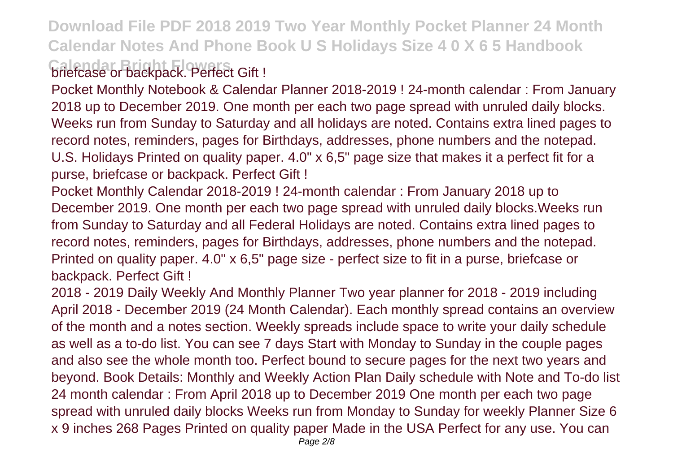**Download File PDF 2018 2019 Two Year Monthly Pocket Planner 24 Month Calendar Notes And Phone Book U S Holidays Size 4 0 X 6 5 Handbook Calendar Bright Flowers** briefcase or backpack. Perfect Gift !

Pocket Monthly Notebook & Calendar Planner 2018-2019 ! 24-month calendar : From January 2018 up to December 2019. One month per each two page spread with unruled daily blocks. Weeks run from Sunday to Saturday and all holidays are noted. Contains extra lined pages to record notes, reminders, pages for Birthdays, addresses, phone numbers and the notepad. U.S. Holidays Printed on quality paper. 4.0" x 6,5" page size that makes it a perfect fit for a purse, briefcase or backpack. Perfect Gift !

Pocket Monthly Calendar 2018-2019 ! 24-month calendar : From January 2018 up to December 2019. One month per each two page spread with unruled daily blocks.Weeks run from Sunday to Saturday and all Federal Holidays are noted. Contains extra lined pages to record notes, reminders, pages for Birthdays, addresses, phone numbers and the notepad. Printed on quality paper. 4.0" x 6,5" page size - perfect size to fit in a purse, briefcase or backpack. Perfect Gift !

2018 - 2019 Daily Weekly And Monthly Planner Two year planner for 2018 - 2019 including April 2018 - December 2019 (24 Month Calendar). Each monthly spread contains an overview of the month and a notes section. Weekly spreads include space to write your daily schedule as well as a to-do list. You can see 7 days Start with Monday to Sunday in the couple pages and also see the whole month too. Perfect bound to secure pages for the next two years and beyond. Book Details: Monthly and Weekly Action Plan Daily schedule with Note and To-do list 24 month calendar : From April 2018 up to December 2019 One month per each two page spread with unruled daily blocks Weeks run from Monday to Sunday for weekly Planner Size 6 x 9 inches 268 Pages Printed on quality paper Made in the USA Perfect for any use. You can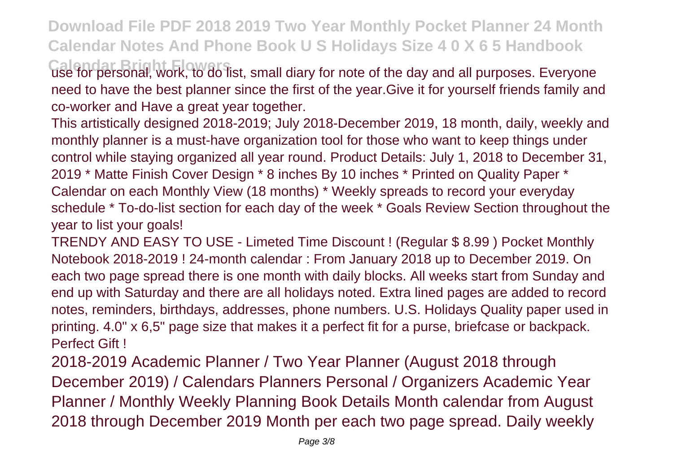**Download File PDF 2018 2019 Two Year Monthly Pocket Planner 24 Month Calendar Notes And Phone Book U S Holidays Size 4 0 X 6 5 Handbook Calendar Bright Flowers** use for personal, work, to do list, small diary for note of the day and all purposes. Everyone

need to have the best planner since the first of the year.Give it for yourself friends family and co-worker and Have a great year together.

This artistically designed 2018-2019; July 2018-December 2019, 18 month, daily, weekly and monthly planner is a must-have organization tool for those who want to keep things under control while staying organized all year round. Product Details: July 1, 2018 to December 31, 2019 \* Matte Finish Cover Design \* 8 inches By 10 inches \* Printed on Quality Paper \* Calendar on each Monthly View (18 months) \* Weekly spreads to record your everyday schedule \* To-do-list section for each day of the week \* Goals Review Section throughout the year to list your goals!

TRENDY AND EASY TO USE - Limeted Time Discount ! (Regular \$ 8.99 ) Pocket Monthly Notebook 2018-2019 ! 24-month calendar : From January 2018 up to December 2019. On each two page spread there is one month with daily blocks. All weeks start from Sunday and end up with Saturday and there are all holidays noted. Extra lined pages are added to record notes, reminders, birthdays, addresses, phone numbers. U.S. Holidays Quality paper used in printing. 4.0" x 6,5" page size that makes it a perfect fit for a purse, briefcase or backpack. Perfect Gift !

2018-2019 Academic Planner / Two Year Planner (August 2018 through December 2019) / Calendars Planners Personal / Organizers Academic Year Planner / Monthly Weekly Planning Book Details Month calendar from August 2018 through December 2019 Month per each two page spread. Daily weekly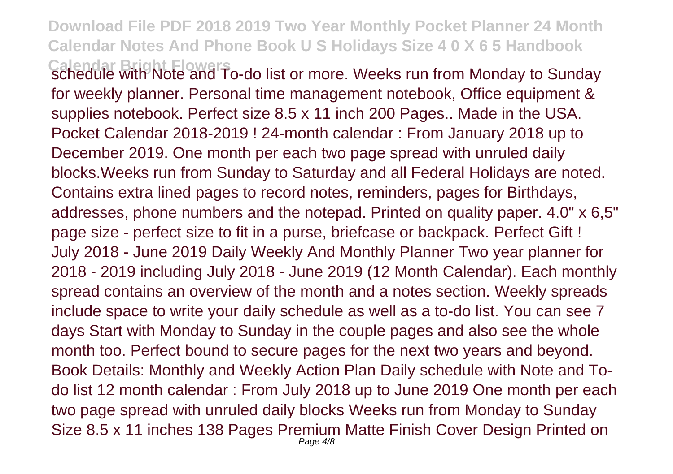**Download File PDF 2018 2019 Two Year Monthly Pocket Planner 24 Month Calendar Notes And Phone Book U S Holidays Size 4 0 X 6 5 Handbook Calendar Bright Flowers** schedule with Note and To-do list or more. Weeks run from Monday to Sunday for weekly planner. Personal time management notebook, Office equipment & supplies notebook. Perfect size 8.5 x 11 inch 200 Pages.. Made in the USA. Pocket Calendar 2018-2019 ! 24-month calendar : From January 2018 up to December 2019. One month per each two page spread with unruled daily blocks.Weeks run from Sunday to Saturday and all Federal Holidays are noted. Contains extra lined pages to record notes, reminders, pages for Birthdays, addresses, phone numbers and the notepad. Printed on quality paper. 4.0" x 6,5" page size - perfect size to fit in a purse, briefcase or backpack. Perfect Gift ! July 2018 - June 2019 Daily Weekly And Monthly Planner Two year planner for 2018 - 2019 including July 2018 - June 2019 (12 Month Calendar). Each monthly spread contains an overview of the month and a notes section. Weekly spreads include space to write your daily schedule as well as a to-do list. You can see 7 days Start with Monday to Sunday in the couple pages and also see the whole month too. Perfect bound to secure pages for the next two years and beyond. Book Details: Monthly and Weekly Action Plan Daily schedule with Note and Todo list 12 month calendar : From July 2018 up to June 2019 One month per each two page spread with unruled daily blocks Weeks run from Monday to Sunday Size 8.5 x 11 inches 138 Pages Premium Matte Finish Cover Design Printed on Page  $4/8$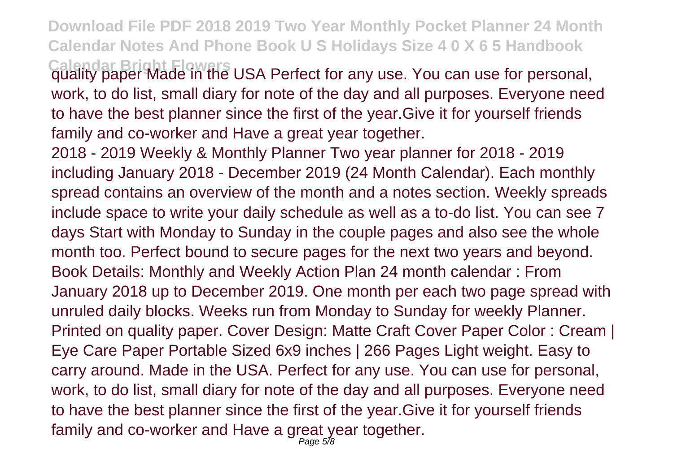**Download File PDF 2018 2019 Two Year Monthly Pocket Planner 24 Month Calendar Notes And Phone Book U S Holidays Size 4 0 X 6 5 Handbook Calendar Bright Flowers** quality paper Made in the USA Perfect for any use. You can use for personal, work, to do list, small diary for note of the day and all purposes. Everyone need to have the best planner since the first of the year.Give it for yourself friends family and co-worker and Have a great year together.

2018 - 2019 Weekly & Monthly Planner Two year planner for 2018 - 2019 including January 2018 - December 2019 (24 Month Calendar). Each monthly spread contains an overview of the month and a notes section. Weekly spreads include space to write your daily schedule as well as a to-do list. You can see 7 days Start with Monday to Sunday in the couple pages and also see the whole month too. Perfect bound to secure pages for the next two years and beyond. Book Details: Monthly and Weekly Action Plan 24 month calendar : From January 2018 up to December 2019. One month per each two page spread with unruled daily blocks. Weeks run from Monday to Sunday for weekly Planner. Printed on quality paper. Cover Design: Matte Craft Cover Paper Color : Cream | Eye Care Paper Portable Sized 6x9 inches | 266 Pages Light weight. Easy to carry around. Made in the USA. Perfect for any use. You can use for personal, work, to do list, small diary for note of the day and all purposes. Everyone need to have the best planner since the first of the year.Give it for yourself friends family and co-worker and Have a great year together.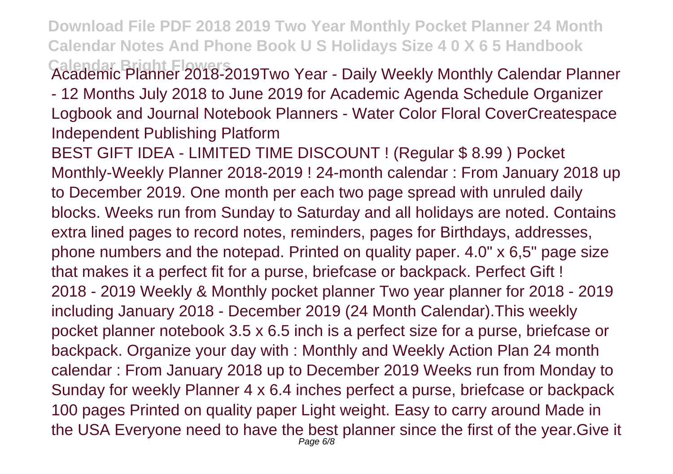**Download File PDF 2018 2019 Two Year Monthly Pocket Planner 24 Month Calendar Notes And Phone Book U S Holidays Size 4 0 X 6 5 Handbook Calendar Bright Flowers** Academic Planner 2018-2019Two Year - Daily Weekly Monthly Calendar Planner

- 12 Months July 2018 to June 2019 for Academic Agenda Schedule Organizer Logbook and Journal Notebook Planners - Water Color Floral CoverCreatespace Independent Publishing Platform

BEST GIFT IDEA - LIMITED TIME DISCOUNT ! (Regular \$ 8.99 ) Pocket Monthly-Weekly Planner 2018-2019 ! 24-month calendar : From January 2018 up to December 2019. One month per each two page spread with unruled daily blocks. Weeks run from Sunday to Saturday and all holidays are noted. Contains extra lined pages to record notes, reminders, pages for Birthdays, addresses, phone numbers and the notepad. Printed on quality paper. 4.0" x 6,5" page size that makes it a perfect fit for a purse, briefcase or backpack. Perfect Gift ! 2018 - 2019 Weekly & Monthly pocket planner Two year planner for 2018 - 2019 including January 2018 - December 2019 (24 Month Calendar).This weekly pocket planner notebook 3.5 x 6.5 inch is a perfect size for a purse, briefcase or backpack. Organize your day with : Monthly and Weekly Action Plan 24 month calendar : From January 2018 up to December 2019 Weeks run from Monday to Sunday for weekly Planner 4 x 6.4 inches perfect a purse, briefcase or backpack 100 pages Printed on quality paper Light weight. Easy to carry around Made in the USA Everyone need to have the best planner since the first of the year.Give it Page 6/8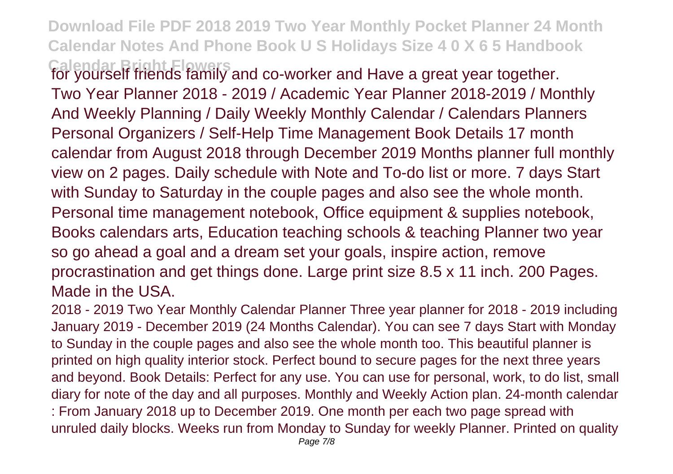**Download File PDF 2018 2019 Two Year Monthly Pocket Planner 24 Month Calendar Notes And Phone Book U S Holidays Size 4 0 X 6 5 Handbook**

**Calendar Bright Flowers** for yourself friends family and co-worker and Have a great year together. Two Year Planner 2018 - 2019 / Academic Year Planner 2018-2019 / Monthly And Weekly Planning / Daily Weekly Monthly Calendar / Calendars Planners Personal Organizers / Self-Help Time Management Book Details 17 month calendar from August 2018 through December 2019 Months planner full monthly view on 2 pages. Daily schedule with Note and To-do list or more. 7 days Start with Sunday to Saturday in the couple pages and also see the whole month. Personal time management notebook, Office equipment & supplies notebook, Books calendars arts, Education teaching schools & teaching Planner two year so go ahead a goal and a dream set your goals, inspire action, remove procrastination and get things done. Large print size 8.5 x 11 inch. 200 Pages. Made in the USA.

2018 - 2019 Two Year Monthly Calendar Planner Three year planner for 2018 - 2019 including January 2019 - December 2019 (24 Months Calendar). You can see 7 days Start with Monday to Sunday in the couple pages and also see the whole month too. This beautiful planner is printed on high quality interior stock. Perfect bound to secure pages for the next three years and beyond. Book Details: Perfect for any use. You can use for personal, work, to do list, small diary for note of the day and all purposes. Monthly and Weekly Action plan. 24-month calendar : From January 2018 up to December 2019. One month per each two page spread with unruled daily blocks. Weeks run from Monday to Sunday for weekly Planner. Printed on quality